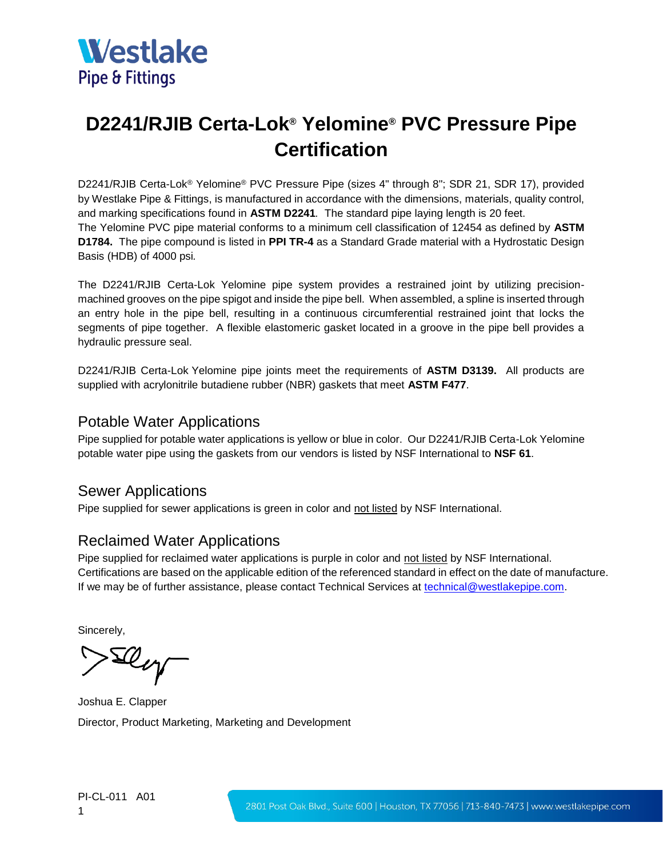

## **D2241/RJIB Certa-Lok® Yelomine® PVC Pressure Pipe Certification**

D2241/RJIB Certa-Lok® Yelomine® PVC Pressure Pipe (sizes 4" through 8"; SDR 21, SDR 17), provided by Westlake Pipe & Fittings, is manufactured in accordance with the dimensions, materials, quality control, and marking specifications found in **ASTM D2241***.* The standard pipe laying length is 20 feet. The Yelomine PVC pipe material conforms to a minimum cell classification of 12454 as defined by **ASTM D1784.** The pipe compound is listed in **PPI TR-4** as a Standard Grade material with a Hydrostatic Design Basis (HDB) of 4000 psi*.*

The D2241/RJIB Certa-Lok Yelomine pipe system provides a restrained joint by utilizing precisionmachined grooves on the pipe spigot and inside the pipe bell. When assembled, a spline is inserted through an entry hole in the pipe bell, resulting in a continuous circumferential restrained joint that locks the segments of pipe together. A flexible elastomeric gasket located in a groove in the pipe bell provides a hydraulic pressure seal.

D2241/RJIB Certa-Lok Yelomine pipe joints meet the requirements of **ASTM D3139.** All products are supplied with acrylonitrile butadiene rubber (NBR) gaskets that meet **ASTM F477**.

## Potable Water Applications

Pipe supplied for potable water applications is yellow or blue in color. Our D2241/RJIB Certa-Lok Yelomine potable water pipe using the gaskets from our vendors is listed by NSF International to **NSF 61**.

## Sewer Applications

Pipe supplied for sewer applications is green in color and not listed by NSF International.

## Reclaimed Water Applications

Pipe supplied for reclaimed water applications is purple in color and not listed by NSF International. Certifications are based on the applicable edition of the referenced standard in effect on the date of manufacture. If we may be of further assistance, please contact Technical Services at [technical@westlakepipe.com.](mailto:technical@westlakepipe.com)

Sincerely,

Sleg

Joshua E. Clapper Director, Product Marketing, Marketing and Development